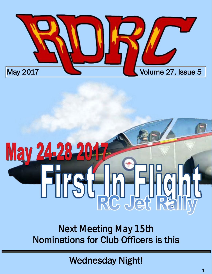

# **M Firs FILORE**  $\overline{\phantom{a}}$

*Next Meeting May 15th*  Nominations for Club Officers is this

Wednesday Night!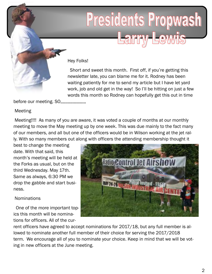## Presidents Propwash Larry Lewis

Hey Folks!

 Short and sweet this month. First off, if you're getting this newsletter late, you can blame me for it. Rodney has been waiting patiently for me to send my article but I have let yard work, job and old get in the way! So I'll be hitting on just a few words this month so Rodney can hopefully get this out in time

before our meeting. SO,,,,,,,,,,,,,,,,,,,,

### Meeting

 Meeting!!!! As many of you are aware, it was voted a couple of months at our monthly meeting to move the May meeting up by one week. This was due mainly to the fact many of our members, and all but one of the officers would be in Wilson working at the jet rally. With so many members out along with officers the attending membership thought it

best to change the meeting date. With that said, this month's meeting will be held at the Forks as usual, but on the third Wednesday. May 17th. Same as always, 6:30 PM we drop the gabble and start business.

### **Nominations**

 One of the more important topics this month will be nominations for officers. All of the cur-



rent officers have agreed to accept nominations for 2017/18, but any full member is allowed to nominate another full member of their choice for serving the 2017/2018 term. We encourage all of you to nominate your choice. Keep in mind that we will be voting in new officers at the June meeting.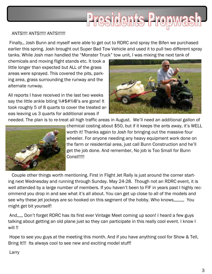# Presidents Propwash

#### ANTS!!!! ANTS!!!!! ANTS!!!!!!

 Finally,, Josh Bunn and myself were able to get out to RDRC and spray the Bifen we purchased earlier this spring. Josh brought out Super Bad Tow Vehicle and used it to pull two different spray tanks. While Josh man handled the "Monster Truck" tow unit, I was mixing the next tank of

chemicals and moving flight stands etc. It took a little longer than expected but ALL of the grass areas were sprayed. This covered the pits, parking area, grass surrounding the runway and the alternate runway.

All reports I have received in the last two weeks say the little ankle biting %#\$#%@'s are gone! It took roughly 5 of 8 quarts to cover the treated areas leaving us 3 quarts for additional areas if



needed. The plan is to re-treat all high traffic areas in August. We'll need an additional gallon of



chemical costing about \$50, but if it keeps the ants away, it's WELL worth it! Thanks again to Josh for bringing out the massive four wheeler. For anyone needing any heavy equipment work done on the farm or residential area, just call Bunn Construction and he'll get the job done. And remember, No job is Too Small for Bunn Const!!!!!

 Couple other things worth mentioning. First in Flight Jet Rally is just around the corner starting next Wednesday and running through Sunday. May 24-28. Though not an RDRC event, it is well attended by a large number of members. If you haven't been to FIF in years past I highly recommend you drop in and see what it's all about. You can get up close to all of the models and see why these jet jockeys are so hooked on this segment of the hobby. Who knows,,,,,,,,,, You might get bit yourself!

 And,,,,, Don't forget RDRC has its first ever Vintage Meet coming up soon! I heard a few guys talking about getting an old plane just so they can participate in this really cool event. I know I will !!

 Hope to see you guys at the meeting this month. And if you have anything cool for Show & Tell, Bring It!!! Its always cool to see new and exciting model stuff!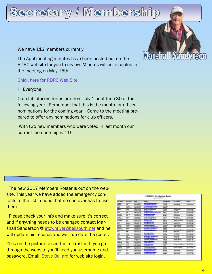## Secretary / Membership

We have 112 members currently.

The April meeting minutes have been posted out on the RDRC website for you to review. Minutes will be accepted in the meeting on May 15th.

[Chick here for RDRC Web Site](http://www.rd-rc.com)

Hi Everyone,

Our club officers terms are from July 1 until June 30 of the following year. Remember that this is the month for officer nominations for the coming year. Come to the meeting prepared to offer any nominations for club officers.

 With two new members who were voted in last month our current membership is 115.



 The new 2017 Members Roster is out on the website. This year we have added the emergency contacts to the list in hope that no one ever has to use them.

Please check your info and make sure it's correct and if anything needs to be changed contact Marshall Sanderson @ [etownflyer@bellsouth.net a](mailto:etownflyer@bellsouth.net)nd he will update his records and we'll up date the roster.

Click on the picture to see the full roster, If you go through the website you'll need you username and password. Email [Steve Ballard](mailto:steve27597@gmail.com) for web site login.

| <b>RDRC 2017 Membership Roster</b><br><b>Equipment of Friday Contact</b> |                     |                                 |                                              |                   |                                          |                               |
|--------------------------------------------------------------------------|---------------------|---------------------------------|----------------------------------------------|-------------------|------------------------------------------|-------------------------------|
| and Minimum                                                              | <b>Hot Noon</b>     | <b>Hitage</b>                   | 1444                                         | <b>AND RANGER</b> | AM. Element                              | $-$                           |
| Margareta                                                                | <b>COLORADO</b>     | <b>ALS WAT Z SAN</b>            | <b>Contractor and con-</b>                   | 1,960,073         |                                          |                               |
| ,,,                                                                      | ÷                   | <b>Bull 215-4952</b>            | <b>SEARCH AND COMPANY</b>                    | <b>TREPLA</b>     | Cast Abruit                              | 114214112                     |
| يستطا                                                                    | <b>William</b>      | T11 218 18th                    | by the star group, the                       | 21.5              |                                          |                               |
| <b>UFus 4</b>                                                            | <b>Tallato Asso</b> | <b>NATION</b>                   |                                              | <b>STORY</b>      |                                          |                               |
| منظما                                                                    | <b>Things</b>       | Ven. 3g/6.811.6                 | <b>Chairman Company</b>                      | <b>STATISTICS</b> | <b>Serra Baltimore</b>                   | 1157151-00                    |
| мr                                                                       | <b>Bank</b>         | <b>FLS RIGL-HIGH</b>            | <b>Charles</b>                               | 115302            | Vield Saft                               | TOLABLAND?                    |
| <b>Service</b>                                                           | aik                 | <b>STATULATIV</b>               | State of the Atlanta and Atlanta             | <b>CHEC</b>       | <b>Solida Alane</b>                      | 436, Littlebatk               |
|                                                                          | <b>Burns</b>        | <b>VEH SIZZAGIN</b>             | property advanced to                         | THEFT!            | rate free                                | <b>Welchell Albert</b>        |
| <b>Distances</b>                                                         | falls               | <b>TILE TOM HOUSE</b>           | <b>Buy Expands</b>                           | <b>ANTINO</b>     | are a fires.                             | <b>WAS TRACTED</b>            |
| laniali.                                                                 | <b>foliar &amp;</b> | <b>NVA WG2 47ET</b>             | turial era granden con-                      | VIAAH             | Like Garristi                            | 110-28-0403                   |
| of Markets                                                               | <b>Bit Fre</b>      | 119 425 PAID                    | <b>AT CARD IS THE WAY</b>                    | USA               | And De textures                          | <b>STHER-OWN</b>              |
| <b><i>Compiler</i></b>                                                   |                     | <b>VIATES MAY</b>               | <b>Mark County</b>                           | <b>TACT</b>       | <b>Gripping IT Found Purit</b>           | <b><i>POSSIBLES</i></b>       |
| m                                                                        | <b>Address</b>      | <b>STAKE4-5.18</b>              | <b>San Grimmin an</b>                        | <b>WHILE</b>      | <b>Josephan Laco</b>                     | <b><i><u>REAGANTH</u></i></b> |
| <b>Little</b>                                                            | <b>futbo</b>        | <b><i>HARMAGLIA</i></b>         |                                              | SIRCE             | <b><i><u>SHIPAPUR CASH</u></i></b>       | ED 6494286                    |
| <b><i><u>SHOWER</u></i></b>                                              | Oulu                | <b>ELKHOR LINGS</b>             |                                              | <b>Hamita</b>     | <b><i>ATMAS AROUND</i></b>               | <b>SUMBLUM</b>                |
| <b>GALACTE</b>                                                           | <b>Time</b>         | wait free Lights                | designation.                                 | <b>SIMON</b>      | <b><i><u>Planeto A Observito</u></i></b> | TERRAIN-TYLE                  |
| 174,419                                                                  | <b>Zinsko</b>       | <b><i>SAA ATA CTA</i></b>       | <b>CONTRACTOR</b>                            | <b>LELTER</b>     |                                          |                               |
| <b>Floridad Influent</b>                                                 | 3811                | <b><i>STRITLETS</i></b>         | <b>Sauce Manufacturer</b>                    | <b>ESH REI</b>    | <b>Black Finals</b><br><b>SAMP</b>       | <b>RELIGION</b>               |
| im,                                                                      | <b>Buil</b>         | <b><i>WESTERLY ENDS</i></b>     |                                              | <b>KLTTNA</b>     | <b>Street Fries</b>                      | <b>RIGHTHENI</b>              |
| Fresh                                                                    | $-1$                | <b>KIN KIN, TUTA</b>            | <b>School Foundation</b>                     | <b>KLOSM</b>      | <b>Ranty Free</b>                        | <b><i>BERGERLLIZE</i></b>     |
| <b>Draw</b>                                                              | <b>L'Ansin</b>      | <b>BIR ATGLICAR</b>             | and Live Print, In 1 km                      | <b>47X88</b>      | <b>Rowsell Filippe</b>                   | <b><i>HALATILEMA</i></b>      |
| w                                                                        | <b>Kingdo</b>       | <b>BERREZ-JWDP</b>              | <b><i><u>Property of the Seconds</u></i></b> | SHAFTER           | <b><i><u>Annex mat</u></i></b>           | <b>RIGARDALIS</b>             |
| <b>Sarris</b>                                                            | <b>NAMA-4</b>       | <b><i>RENT THREE LITHIN</i></b> | <b>Parmitti Business</b>                     | <b>A BIE JIME</b> | <b>Eine Karls</b>                        | <b>RAKA-K.J.289</b>           |
| teeting                                                                  | <b>Kyrrs</b>        | <b>RES SEN-TRAC</b>             | <b>Service College</b>                       | <b>WANTLA</b>     | <b>Shakan Hauskann</b>                   | <b><i>STEARLY WA</i></b>      |
| ÷                                                                        | <b>Half</b>         | TOP PASSAGES                    | and the proof and last                       | <b>TRIALI</b>     | <b>Test Lines</b>                        | <b>TIFRLANT</b>               |
| <b>Section</b>                                                           | have                | <b>Brid Post Addition</b>       | <b>LEALT Search AT</b>                       | 119484            |                                          |                               |
| <b>Milderton</b>                                                         | <b>SHAF</b>         | NAMES                           | <b><i><u>Robert Collando</u></i></b>         | mit liet          | <b>Index of Activities</b>               | TIMO4.00                      |
| تتحنكت                                                                   | <b>Limes</b>        | 119413-5897                     | <b>Building</b>                              | 1428              |                                          |                               |
| فاستكلت                                                                  | <b>SARA</b>         | 111406-0134                     |                                              | (11367)           | <b>Scott Made</b>                        | W-M4LM                        |
| <b>Alberta</b>                                                           | ٠                   | <b>SETJ45-LASF</b>              | and and completely stated                    | 423427            |                                          |                               |
| <b>Sanskill</b>                                                          | <b>Dec</b>          | <b>REALISES AND</b>             | <b>Bluesville Production</b>                 | <b>BILENCH</b>    | <b>Said Hermally</b>                     | TENNISARIS                    |
| hutbat                                                                   | The                 | 419 S.M. HOW                    | promote a condition of the first print       | <b>Foat Mint</b>  | <b>MARINE SUPER</b>                      | <b>RYLINGARDS</b>             |
| 144                                                                      | <b>Skinner</b>      | 118418-4401                     | <b>Wind information</b>                      | 4,0040            | <b>John More</b>                         | RIS35/12M                     |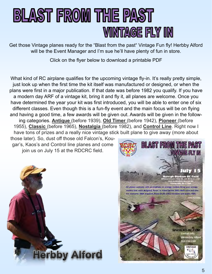## **BLAST FROM THE PAST VINTAGE FLY IN**

Get those Vintage planes ready for the "Blast from the past" Vintage Fun fly! Herbby Alford will be the Event Manager and I'm sue he'll have plenty of fun in store.

Click on the flyer below to download a printable PDF

What kind of RC airplane qualifies for the upcoming vintage fly-in. It's really pretty simple, just look up when the first time the kit itself was manufactured or designed, or when the plans were first in a major publication. If that date was before 1982 you qualify. If you have a modern day ARF of a vintage kit, bring it and fly it, all planes are welcome. Once you have determined the year your kit was first introduced, you will be able to enter one of six different classes. Even though this is a fun-fly event and the main focus will be on flying and having a good time, a few awards will be given out. Awards will be given in the following categories. **Antique** (before 1939), **Old Timer** (before 1942), **Pioneer** (before 1955), **Classic** (before 1965), **Nostalgia** (before 1982), and **Control Line**. Right now I have tons of prizes and a really nice vintage stick built plane to give away (more about

those later). So, dust off those old Falcon's, Kougar's, Kaos's and Control line planes and come join us on July 15 at the RDCRC field.



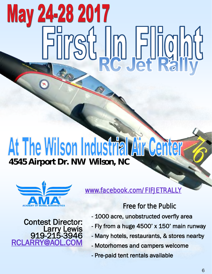# May 24-28 2017 First In Flight

# At The Wilson Industrial Air Center



Contest Director: Larry Lewis 919-215-3946 **RCLAR** 

*[www.facebook.com/FIFJETRALLY](http://www.facebook.com/FIFJETRALLY)* 

*Free for the Public* 

- 1000 acre, unobstructed overfly area
- Fly from a huge 4500' x 150' main runway
- Many hotels, restaurants, & stores nearby
- Motorhomes and campers welcome
- Pre-paid tent rentals available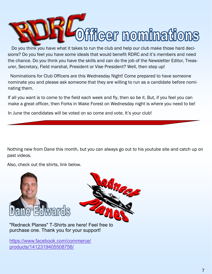

sions? Do you feel you have some ideals that would benefit RDRC and it's members and need the chance. Do you think you have the skills and can do the job of the Newsletter Editor, Treasurer, Secretary, Field marshal, President or Vise President? Well, then step up!

 Nominations for Club Officers are this Wednesday Night! Come prepared to have someone nominate you and please ask someone that they are willing to run as a candidate before nominating them.

If all you want is to come to the field each week and fly, then so be it. But, if you feel you can make a great officer, then Forks in Wake Forest on Wednesday night is where you need to be!

In June the candidates will be voted on so come and vote. It's your club!

Nothing new from Dane this month, but you can always go out to his youtube site and catch up on past videos.

Also, check out the shirts, link below.



"Redneck Planes" T-Shirts are [here! Feel free to](https://www.youtube.com/channel/UC5_Gvy1myQxjYBCAj8lrN8Q)  purchase one. Thank you for your support!

[https://www.facebook.com/commerce/](https://www.youtube.com/redirect?q=https%3A%2F%2Fwww.facebook.com%2Fcommerce%2Fproducts%2F1412319405508756%2F&redir_token=zvMZ17XvDilxpmvWGokaH4rQmkp8MTQ5NDk3NTY4OUAxNDk0ODg5Mjg5) [products/1412319405508756/](https://www.youtube.com/redirect?q=https%3A%2F%2Fwww.facebook.com%2Fcommerce%2Fproducts%2F1412319405508756%2F&redir_token=zvMZ17XvDilxpmvWGokaH4rQmkp8MTQ5NDk3NTY4OUAxNDk0ODg5Mjg5)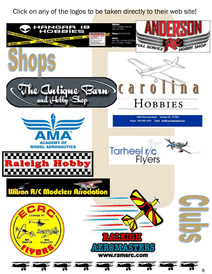Click on any of the logos to be taken directly to their web site!

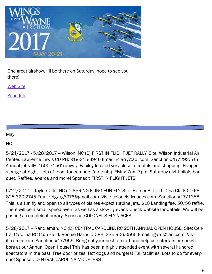

One great airshow, I'll be there on Saturday, hope to see you there!

[Web Site](https://www.wingsoverwayneairshow.com/)

**[Schedule](https://static1.squarespace.com/static/586d64f7579fb3b92bfe4eda/t/5914c1ac725e25f2cc775904/1494532525272/2017.5.10+WOW17+SCHEDULE.pdf)** 

May

NC

5/24/2017 - 5/28/2017 -- Wilson, NC (C) FIRST IN FLIGHT JET RALLY. Site: Wilson Industrial Air Center. Lawrence Lewis CD PH: 919-215-3946 Email: rclarry@aol.com. Sanction #17/292. 7th Annual jet rally. 4500'x150' runway. Facility located very close to motels and shopping. Hanger storage at night. Lots of room for campers (no tents). Flying 7am-7pm. Saturday night pilots banquet. Raffles, awards and more! Sponsor: FIRST IN FLIGHT JETS

5/27/2017 -- Taylorsville, NC (C) SPRING FLING FUN FLY. Site: Hefner Airfield. Dina Clark CD PH: 828-320-2745 Email: zigzag6976@gmail.com. Visit: colonelsflynaces.com. Sanction #17/1358. This is a fun fly and open to all types of planes expect turbine jets. \$10 Landing fee. 50/50 raffle. There will be a small speed event as well as a slow fly event. Check website for details. We will be posting a complete itinerary. Sponsor: COLONEL'S FLY'N ACES

5/28/2017 -- Randleman, NC (D) CENTRAL CAROLINA RC 25TH ANNUAL OPEN HOUSE. Site: Central Carolina RC Club Field. Ronnie Garris CD PH: 336.906.0565 Email: rgarris@aol.com. Visit: ccrcm.com. Sanction #17/955. Bring out your best aircraft and help us entertain our neighbors at our Annual Open House! This has been a highly attended event with several hundred spectators in the past. Free door prizes. Hot dogs and burgers! Full facilities. Lots to do for everyone! Sponsor: CENTRAL CAROLINA MODELERS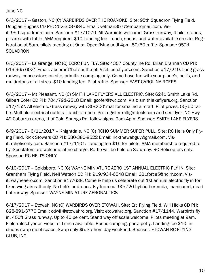June NC

6/3/2017 -- Gaston, NC (C) WARBIRDS OVER THE ROANOKE. Site: 95th Squadron Flying Field. Douglas Hughes CD PH: 252-308-6840 Email: vetman357@embarqmail.com. Visit: 95thsquadronrc.com. Sanction #17/1079. All Warbirds welcome. Grass runway, 4 pilot stands, pit area with table. AMA required. \$10 Landing fee. Lunch, sodas, and water available on site. Registration at 8am, pilots meeting at 9am. Open flying until 4pm. 50/50 raffle. Sponsor: 95TH **SQUADRON** 

6/3/2017 -- La Grange, NC (C) ECRC FUN FLY. Site: 4357 Countyline Rd. Brian Brannan CD PH: 919-965-6021 Email: absbran@bellsouth.net. Visit: ecrcflyers.com. Sanction #17/219. Long grass runway, concessions on site, primitive camping only. Come have fun with your plane's, heli's, and multirotor's of all sizes. \$10 landing fee. Pilot raffle. Sponsor: EAST CAROLINA RCERS

6/3/2017 -- Mt Pleasant, NC (C) SMITH LAKE FLYERS ALL ELECTRIC. Site: 6241 Smith Lake Rd. Gilbert Cofer CD PH: 704/791-2518 Email: gcofer@twc.com. Visit: smithlakeflyers.org. Sanction #17/152. All electric. Grass runway with 30x200' mat for smalled aircraft. Pilot prizes, 50/50 raffle. Multiple electrical outlets. Lunch at noon. Pre-register rcflightdeck.com and see flyer. NC Hwy 49 Cabarrus arena, rt of Cold Springs Rd, follow signs. 9am-4pm. Sponsor: SMITH LAKE FLYERS

6/9/2017 - 6/11/2017 -- Knightdale, NC (C) RCHO SUMMER SUPER PULL. Site: RC Helis Only Flying Field. Rick Stowers CD PH: 580-380-8522 Email: rickthewebguy@gmail.com. Visit: rchelisonly.com. Sanction #17/1101. Landing fee \$15 for pilots. AMA membership required to fly. Spectators are welcome at no charge. Raffle will be held on Saturday. RC Helicopters only. Sponsor: RC HELI'S ONLY

6/10/2017 -- Goldsboro, NC (C) WAYNE MINIATURE AERO 1ST ANNUAL ELECTRIC FLY IN. Site: Grantham Flying Field. Neil Watson CD PH: 919/934-6548 Email: 321force5@nc.rr.com. Visit: wayneaero.com. Sanction #17/638. Come & help us celebrate out 1st annual electric fly in for fixed wing aircraft only. No heli's or drones. Fly from out 90x720 hybrid bermuda, manicured, dead flat runway. Sponsor: WAYNE MINIATURE AERONAUTICS

6/17/2017 -- Etowah, NC (C) WARBIRDS OVER ETOWAH. Site: Erc Flying Field. Will Hicks CD PH: 828-891-3776 Email: cdwill@etowahrc.org. Visit: etowahrc.org. Sanction #17/1144. Warbirds fly in. 400ft Grass runway. Up to 40 percent. Stand way off scale welcome. Pilots meeting at 9am. Field rules.flyer on website. Lunch available. Rustic camping, porta-potty. Landing fee \$10, includes swap meet space. Swap only \$5. Fathers day weekend. Sponsor: ETOWAH RC FLYING CLUB, INC.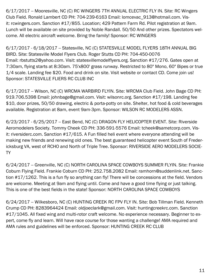6/17/2017 -- Mooresville, NC (C) RC WINGERS 7TH ANNUAL ELECTRIC FLY IN. Site: RC Wingers Club Field. Ronald Lambert CD PH: 704-239-6163 Email: lomcevac\_913@hotmail.com. Visit: rcwingers.com. Sanction #17/855. Location; 429 Pattern Farm Rd. Pilot registration at 9am. Lunch will be available on site provided by Noble Randall. 50/50 And other prizes. Spectators welcome. All electric aircraft welcome. Bring the family! Sponsor: RC WINGERS

6/17/2017 - 6/18/2017 -- Statesville, NC (C) STATESVILLE MODEL FLYERS 18TH ANNUAL BIG BIRD. Site: Statesville Model Flyers Club. Roger Stutts CD PH: 704-450-0076 Email: rbstutts2@yahoo.com. Visit: statesvillemodelflyers.org. Sanction #17/276. Gates open at 7:30am, flying starts at 8:30am. 75'x800' grass runway. Restricted to 80" Mono, 60" Bipes or true 1/4 scale. Landing fee \$20. Food and drink on site. Visit website or contact CD. Come join us! Sponsor: STATESVILLE FLIERS RC CLUB INC

6/17/2017 -- Wilson, NC (C) WRCMA WARBIRD FLYIN. Site: WRCMA Club Field. John Bage CD PH: 919.706.5398 Email: johnbage@gmail.com. Visit: wilsonrc.org. Sanction #17/198. Landing fee \$10, door prizes, 50/50 drawing, electric & porta-potty on site. Shelter, hot food & cold beverages available. Registration at 8am, event 9am-3pm. Sponsor: WILSON RC MODELERS ASSN.

6/23/2017 - 6/25/2017 -- East Bend, NC (C) DRAGON FLY HELICOPTER EVENT. Site: Riverside Aeromodelers Society. Tommy Cheek CD PH: 336-591-5576 Email: tcheek@sametcorp.com. Visit: riversiderc.com. Sanction #17/615. A Fun filled heli event where everyone attending will be making new friends and renewing old ones. The best guaranteed helicopter event South of Fredericksburg VA, west of RCHO and North of Triple Tree. Sponsor: RIVERSIDE AERO MODELERS SOCIE-TY

6/24/2017 -- Greenville, NC (C) NORTH CAROLINA SPACE COWBOYS SUMMER FLYIN. Site: Frankie Coburn Flying Field. Frankie Coburn CD PH: 252.758.2082 Email: ramhorn@suddenlink.net. Sanction #17/1262. This is a fun fly so anything can fly! There will be concessions at the field. Vendors are welcome. Meeting at 9am and flying until. Come and have a good time flying or just talking. This is one of the best fields in the state! Sponsor: NORTH CAROLINA SPACE COWBOYS

6/24/2017 -- Wilkesboro, NC (C) HUNTING CREEK RC FPV FLY IN. Site: Bob Tillman Field. Kenneth Crump CD PH: 8283964424 Email: oldjoeclark@gmail.com. Visit: huntingcreekrc.com. Sanction #17/1045. All fixed wing and multi-rotor craft welcome. No experience necessary. Beginner to expert, come fly and learn. Will have race course for those wanting a challenge! AMA required and AMA rules and guidelines will be enforced. Sponsor: HUNTING CREEK RC CLUB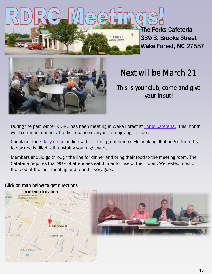

The Forks Cafeteria 339 S. Brooks Street Wake Forest, NC 27587



### *Next will be March 21*

*This is your club, come and give your input!* 

During the past winter RD-RC has been meeting in Wake Forest at [Forks Cafeteria.](http://www.forkscafeteria.com/) This month we'll continue to meet at forks because everyone is enjoying the food.

Check out their *daily menu* on line with all their great home-style cooking! It changes from day to day and is filled with anything you might want.

Members should go through the line for dinner and bring their food to the meeting room. The Cafeteria requires that 90% of attendees eat dinner for use of their room. We tested most of the food at the last meeting and found it very good.

## *[from you location!](https://www.google.com/maps/dir/339+Brooks+St,+Wake+Forest,+NC+27587/@35.975521,-78.508933,14z/data=!4m13!1m4!3m3!1s0x89ac5225f956275f:0xba3380376bd82c79!2s339+Brooks+St,+Wake+Forest,+NC+27587!3b1!4m7!1m0!1m5!1m1!1s0x89ac5225f956275f:0xba3380376bd82c79!2m)*  off Click Wake Forest spawe ares 339 Brooks S 白喉 中毒能 vi Dyer the

### *Click on map below to get directions*